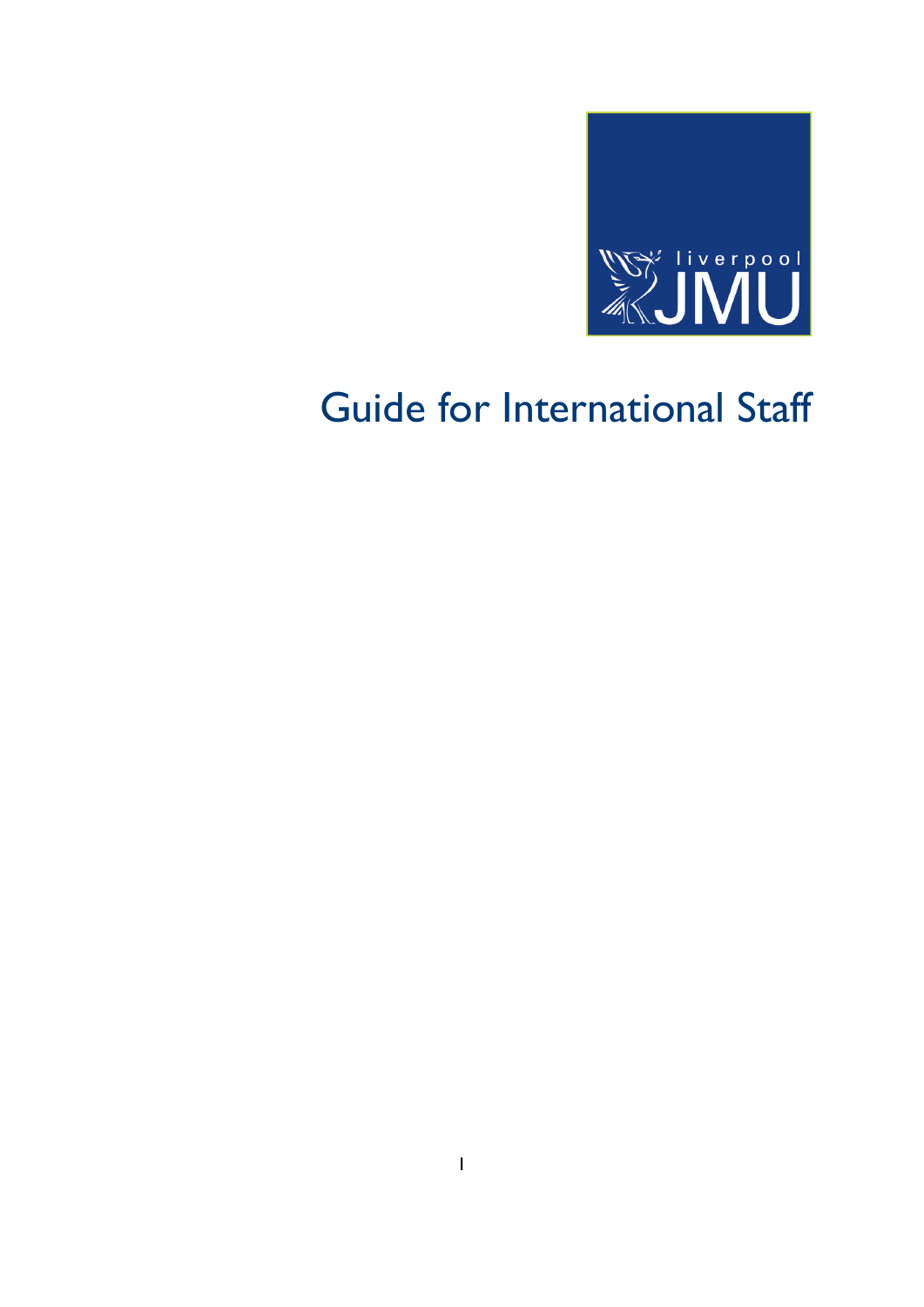

# Guide for International Staff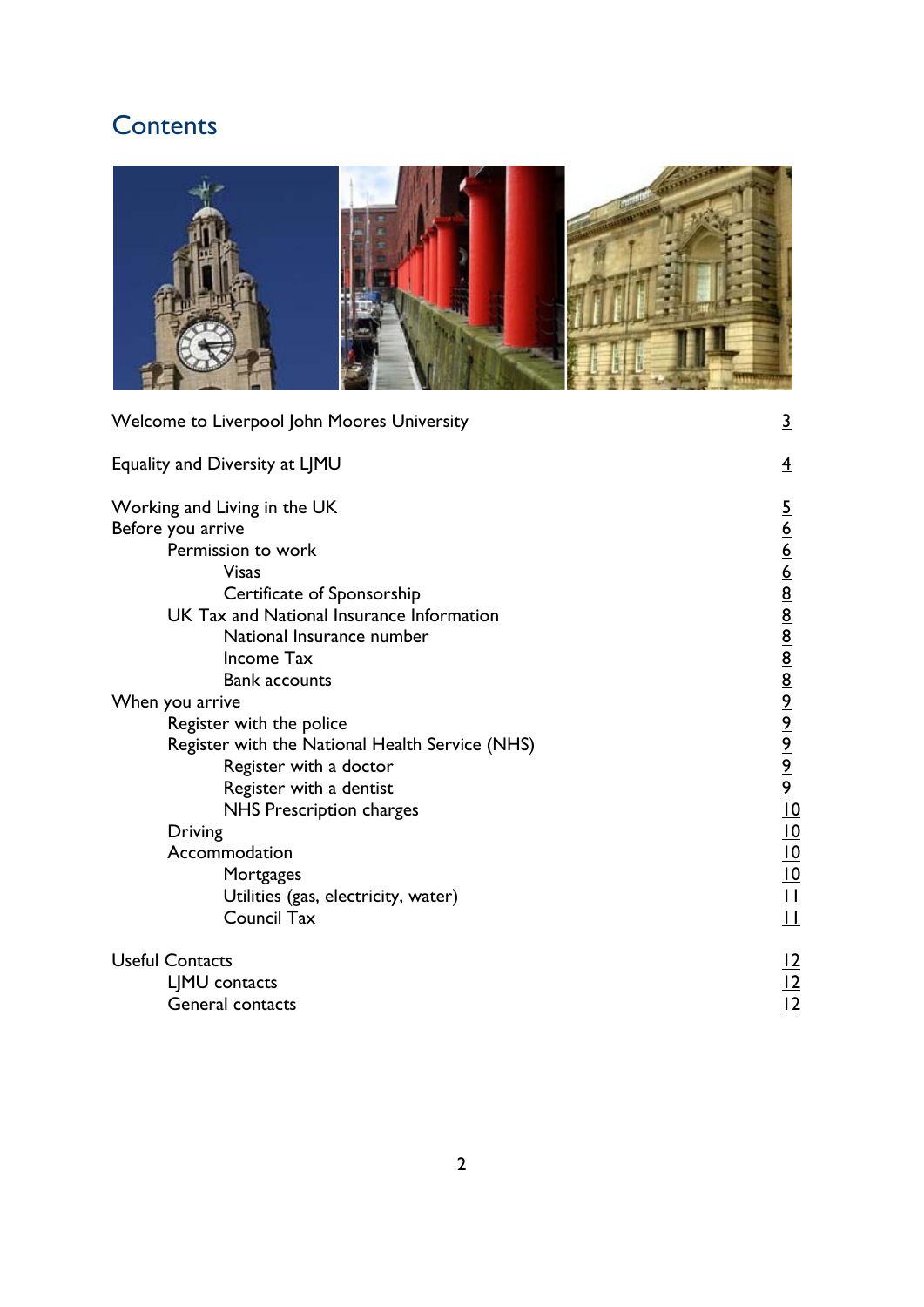# **Contents**

| Welcome to Liverpool John Moores University                             | <u>3</u>       |
|-------------------------------------------------------------------------|----------------|
| Equality and Diversity at LJMU                                          | $\overline{4}$ |
| Working and Living in the UK<br>Before you arrive<br>Permission to work | $\frac{5}{6}$  |

| Working and Living in the UK                    | $\overline{5}$                                                                                                                                                                                                                                                                          |
|-------------------------------------------------|-----------------------------------------------------------------------------------------------------------------------------------------------------------------------------------------------------------------------------------------------------------------------------------------|
| Before you arrive                               |                                                                                                                                                                                                                                                                                         |
| Permission to work                              |                                                                                                                                                                                                                                                                                         |
| <b>Visas</b>                                    |                                                                                                                                                                                                                                                                                         |
| Certificate of Sponsorship                      |                                                                                                                                                                                                                                                                                         |
| UK Tax and National Insurance Information       |                                                                                                                                                                                                                                                                                         |
| National Insurance number                       |                                                                                                                                                                                                                                                                                         |
| Income Tax                                      |                                                                                                                                                                                                                                                                                         |
| <b>Bank accounts</b>                            |                                                                                                                                                                                                                                                                                         |
| When you arrive                                 |                                                                                                                                                                                                                                                                                         |
| Register with the police                        | $\frac{6}{6}$ $\frac{6}{6}$ $\frac{6}{8}$ $\frac{6}{8}$ $\frac{6}{8}$ $\frac{6}{8}$ $\frac{6}{8}$ $\frac{6}{8}$ $\frac{6}{8}$ $\frac{6}{8}$ $\frac{6}{8}$ $\frac{6}{8}$ $\frac{6}{8}$ $\frac{6}{8}$ $\frac{6}{8}$ $\frac{6}{8}$ $\frac{6}{8}$ $\frac{6}{8}$ $\frac{6}{8}$ $\frac{6}{8}$ |
| Register with the National Health Service (NHS) |                                                                                                                                                                                                                                                                                         |
| Register with a doctor                          |                                                                                                                                                                                                                                                                                         |
| Register with a dentist                         |                                                                                                                                                                                                                                                                                         |
| NHS Prescription charges                        | $\overline{10}$                                                                                                                                                                                                                                                                         |
| Driving                                         | <u>10</u>                                                                                                                                                                                                                                                                               |
| Accommodation                                   | <u>10</u>                                                                                                                                                                                                                                                                               |
| Mortgages                                       | $\overline{10}$                                                                                                                                                                                                                                                                         |
| Utilities (gas, electricity, water)             | $\frac{1}{1}$                                                                                                                                                                                                                                                                           |
| Council Tax                                     | $\overline{\mathsf{L}}$                                                                                                                                                                                                                                                                 |
| <b>Useful Contacts</b>                          | <u> 2</u>                                                                                                                                                                                                                                                                               |
| LIMU contacts                                   |                                                                                                                                                                                                                                                                                         |
| General contacts                                | $\frac{12}{12}$                                                                                                                                                                                                                                                                         |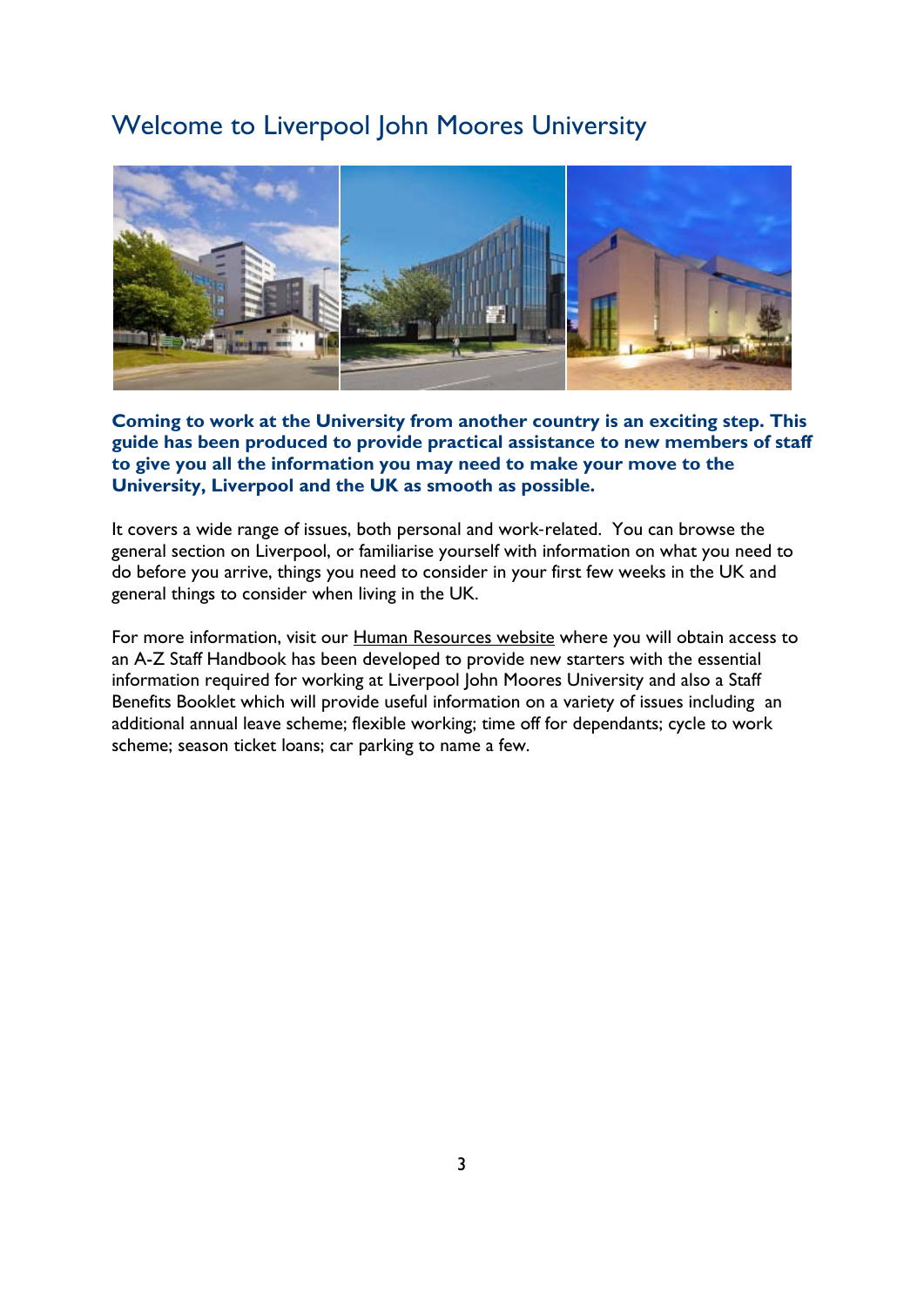# <span id="page-2-0"></span>Welcome to Liverpool John Moores University



**Coming to work at the University from another country is an exciting step. This guide has been produced to provide practical assistance to new members of staff to give you all the information you may need to make your move to the University, Liverpool and the UK as smooth as possible.** 

It covers a wide range of issues, both personal and work‐related. You can browse the general section on Liverpool, or familiarise yourself with information on what you need to do before you arrive, things you need to consider in your first few weeks in the UK and general things to consider when living in the UK.

For more information, visit our [Human Resources](http://www.ljmu.ac.uk/personnel) website where you will obtain access to an A-Z Staff Handbook has been developed to provide new starters with the essential information required for working at Liverpool John Moores University and also a Staff Benefits Booklet which will provide useful information on a variety of issues including an additional annual leave scheme; flexible working; time off for dependants; cycle to work scheme; season ticket loans; car parking to name a few.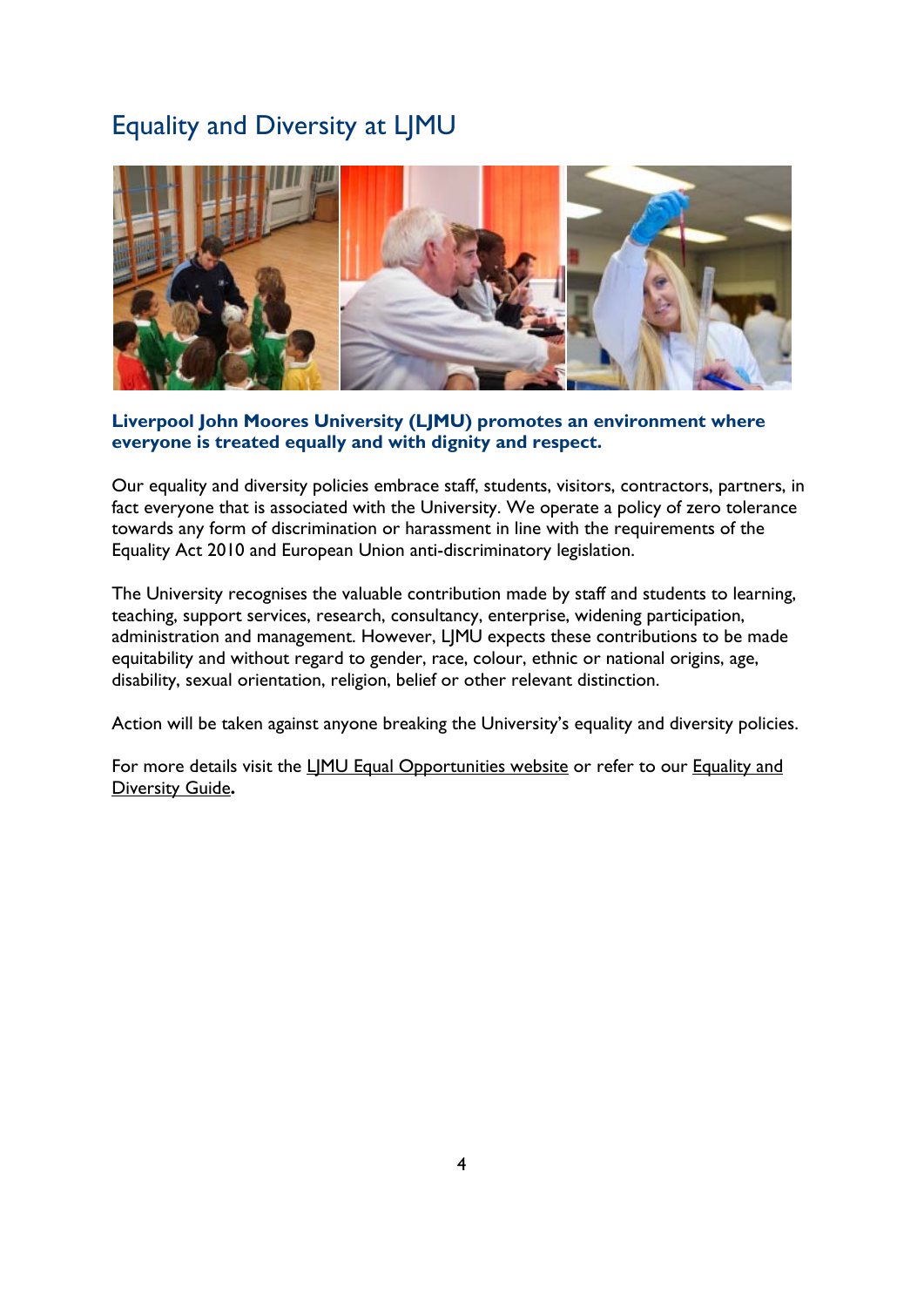# <span id="page-3-0"></span>Equality and Diversity at LJMU



### **Liverpool John Moores University (LJMU) promotes an environment where everyone is treated equally and with dignity and respect.**

Our equality and diversity policies embrace staff, students, visitors, contractors, partners, in fact everyone that is associated with the University. We operate a policy of zero tolerance towards any form of discrimination or harassment in line with the requirements of the Equality Act 2010 and European Union anti-discriminatory legislation.

The University recognises the valuable contribution made by staff and students to learning, teaching, support services, research, consultancy, enterprise, widening participation, administration and management. However, LJMU expects these contributions to be made equitability and without regard to gender, race, colour, ethnic or national origins, age, disability, sexual orientation, religion, belief or other relevant distinction.

Action will be taken against anyone breaking the University's equality and diversity policies.

For more details visit the LIMU Equal Opportunities website or refer to our Equality and [Diversity Guide](http://www.ljmu.ac.uk/EOU/EOUDocs/Equality_and_Diversity.pdf)**.**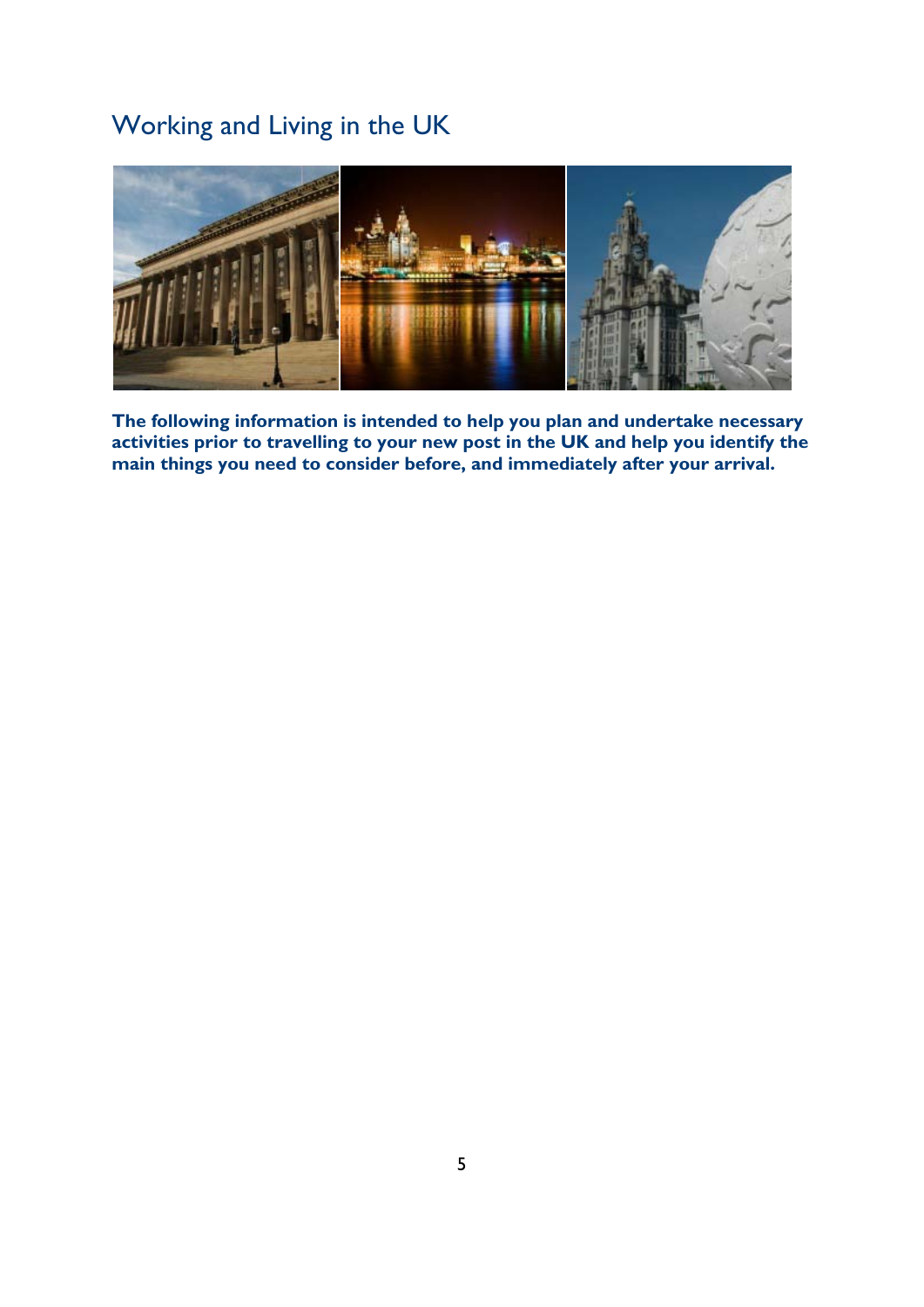# <span id="page-4-0"></span>Working and Living in the UK



**The following information is intended to help you plan and undertake necessary activities prior to travelling to your new post in the UK and help you identify the main things you need to consider before, and immediately after your arrival.**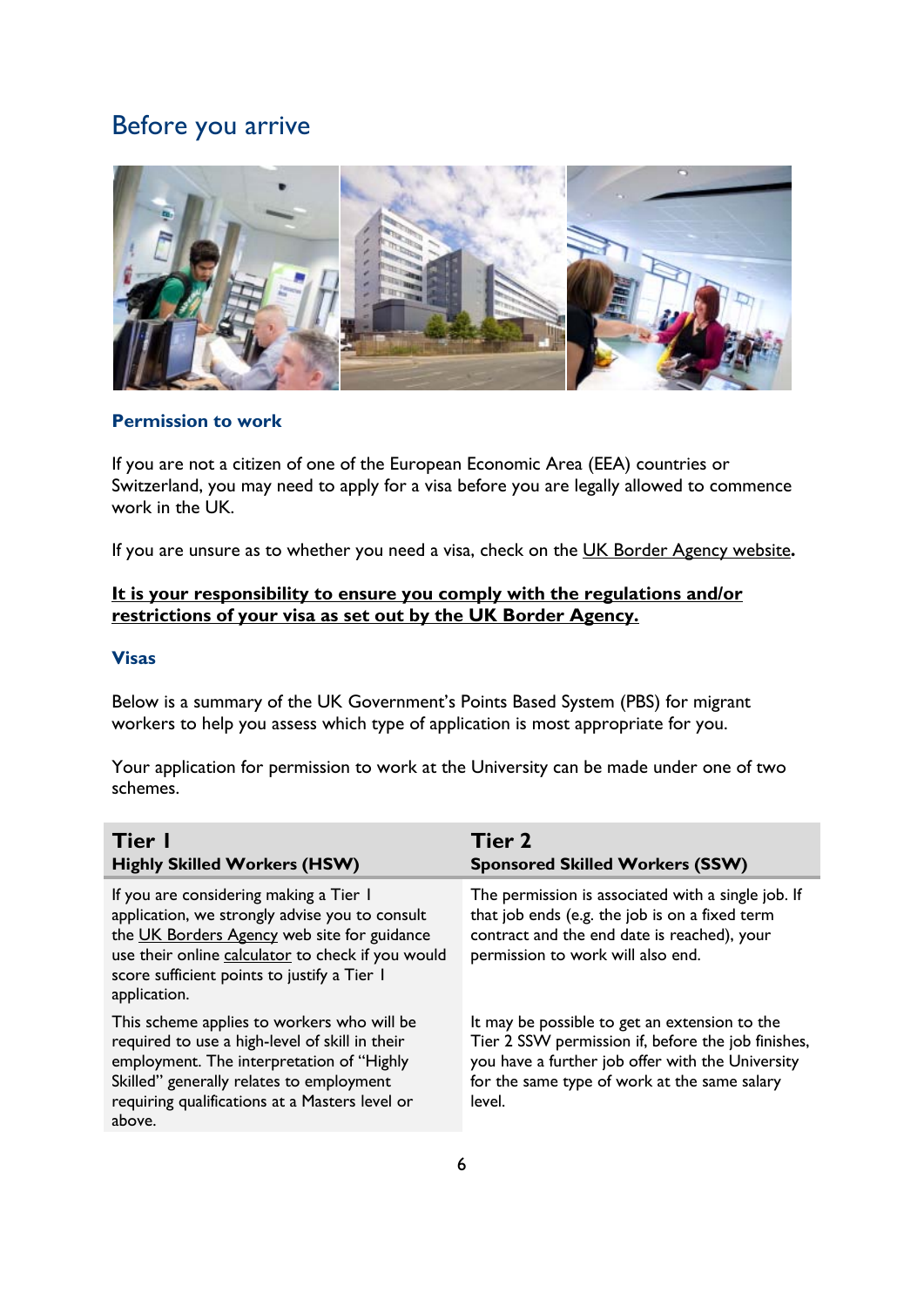# <span id="page-5-0"></span>Before you arrive



### <span id="page-5-1"></span>**Permission to work**

If you are not a citizen of one of the European Economic Area (EEA) countries or Switzerland, you may need to apply for a visa before you are legally allowed to commence work in the UK.

If you are unsure as to whether you need a visa, check on the [UK Border Agency website](http://www.bia.homeoffice.gov.uk/)**.** 

### **It is your responsibility to ensure you comply with the regulations and/or restrictions of your visa as set out by the UK Border Agency.**

### <span id="page-5-2"></span>**Visas**

Below is a summary of the UK Government's Points Based System (PBS) for migrant workers to help you assess which type of application is most appropriate for you.

Your application for permission to work at the University can be made under one of two schemes.

| Tier I<br><b>Highly Skilled Workers (HSW)</b>                                                                                                                                                                                                               | Tier 2<br><b>Sponsored Skilled Workers (SSW)</b>                                                                                                                                                                  |
|-------------------------------------------------------------------------------------------------------------------------------------------------------------------------------------------------------------------------------------------------------------|-------------------------------------------------------------------------------------------------------------------------------------------------------------------------------------------------------------------|
| If you are considering making a Tier I<br>application, we strongly advise you to consult<br>the UK Borders Agency web site for guidance<br>use their online calculator to check if you would<br>score sufficient points to justify a Tier I<br>application. | The permission is associated with a single job. If<br>that job ends (e.g. the job is on a fixed term<br>contract and the end date is reached), your<br>permission to work will also end.                          |
| This scheme applies to workers who will be<br>required to use a high-level of skill in their<br>employment. The interpretation of "Highly<br>Skilled" generally relates to employment<br>requiring qualifications at a Masters level or<br>above.           | It may be possible to get an extension to the<br>Tier 2 SSW permission if, before the job finishes,<br>you have a further job offer with the University<br>for the same type of work at the same salary<br>level. |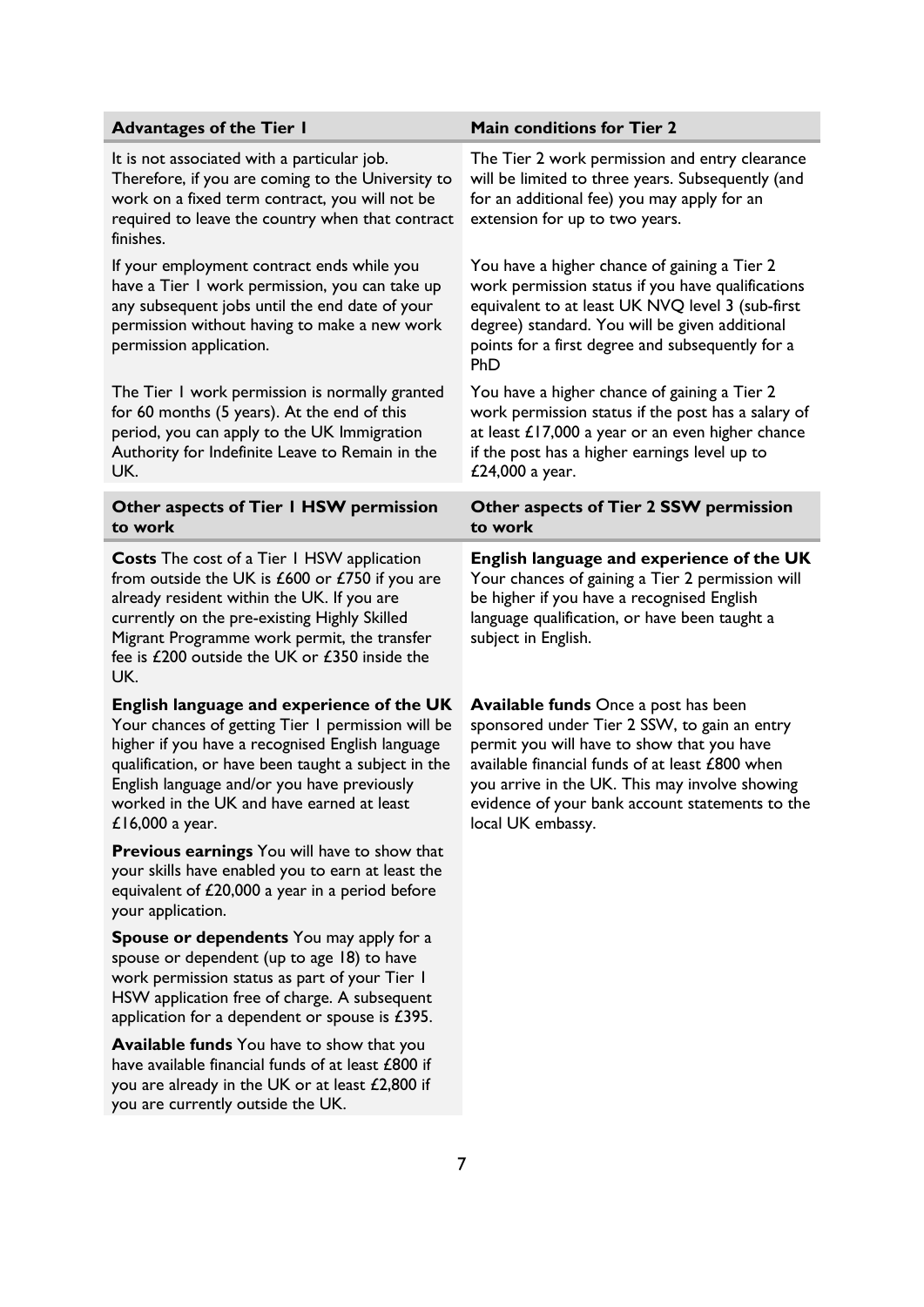| <b>Advantages of the Tier I</b>                                                                                                                                                                                                                                                                                          | <b>Main conditions for Tier 2</b>                                                                                                                                                                                                                                                                                      |
|--------------------------------------------------------------------------------------------------------------------------------------------------------------------------------------------------------------------------------------------------------------------------------------------------------------------------|------------------------------------------------------------------------------------------------------------------------------------------------------------------------------------------------------------------------------------------------------------------------------------------------------------------------|
| It is not associated with a particular job.<br>Therefore, if you are coming to the University to<br>work on a fixed term contract, you will not be<br>required to leave the country when that contract<br>finishes.                                                                                                      | The Tier 2 work permission and entry clearance<br>will be limited to three years. Subsequently (and<br>for an additional fee) you may apply for an<br>extension for up to two years.                                                                                                                                   |
| If your employment contract ends while you<br>have a Tier I work permission, you can take up<br>any subsequent jobs until the end date of your<br>permission without having to make a new work<br>permission application.                                                                                                | You have a higher chance of gaining a Tier 2<br>work permission status if you have qualifications<br>equivalent to at least UK NVQ level 3 (sub-first<br>degree) standard. You will be given additional<br>points for a first degree and subsequently for a<br>PhD                                                     |
| The Tier I work permission is normally granted<br>for 60 months (5 years). At the end of this<br>period, you can apply to the UK Immigration<br>Authority for Indefinite Leave to Remain in the<br>UK.                                                                                                                   | You have a higher chance of gaining a Tier 2<br>work permission status if the post has a salary of<br>at least £17,000 a year or an even higher chance<br>if the post has a higher earnings level up to<br>£24,000 a year.                                                                                             |
| Other aspects of Tier I HSW permission<br>to work                                                                                                                                                                                                                                                                        | Other aspects of Tier 2 SSW permission<br>to work                                                                                                                                                                                                                                                                      |
| <b>Costs</b> The cost of a Tier 1 HSW application<br>from outside the UK is $£600$ or $£750$ if you are<br>already resident within the UK. If you are<br>currently on the pre-existing Highly Skilled<br>Migrant Programme work permit, the transfer<br>fee is £200 outside the UK or £350 inside the<br>UK.             | English language and experience of the UK<br>Your chances of gaining a Tier 2 permission will<br>be higher if you have a recognised English<br>language qualification, or have been taught a<br>subject in English.                                                                                                    |
| English language and experience of the UK<br>Your chances of getting Tier I permission will be<br>higher if you have a recognised English language<br>qualification, or have been taught a subject in the<br>English language and/or you have previously<br>worked in the UK and have earned at least<br>£16,000 a year. | <b>Available funds</b> Once a post has been<br>sponsored under Tier 2 SSW, to gain an entry<br>permit you will have to show that you have<br>available financial funds of at least £800 when<br>you arrive in the UK. This may involve showing<br>evidence of your bank account statements to the<br>local UK embassy. |
| <b>Previous earnings</b> You will have to show that<br>your skills have enabled you to earn at least the<br>equivalent of £20,000 a year in a period before<br>your application.                                                                                                                                         |                                                                                                                                                                                                                                                                                                                        |
| <b>Spouse or dependents</b> You may apply for a<br>spouse or dependent (up to age 18) to have<br>work permission status as part of your Tier I<br>HSW application free of charge. A subsequent<br>application for a dependent or spouse is $£395.$                                                                       |                                                                                                                                                                                                                                                                                                                        |
| Available funds You have to show that you<br>have available financial funds of at least £800 if<br>you are already in the UK or at least £2,800 if<br>you are currently outside the UK.                                                                                                                                  |                                                                                                                                                                                                                                                                                                                        |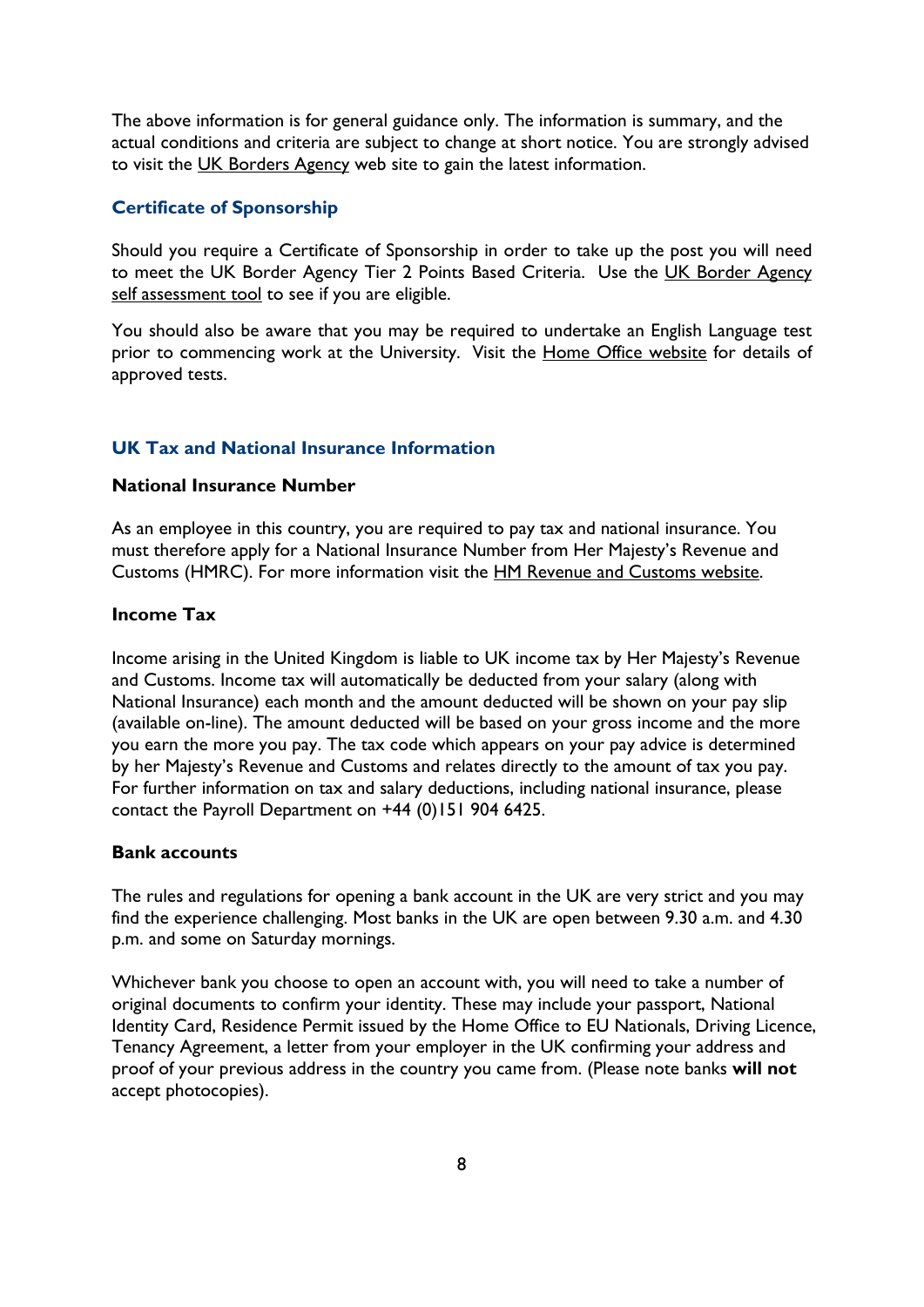The above information is for general guidance only. The information is summary, and the actual conditions and criteria are subject to change at short notice. You are strongly advised to visit the [UK Borders Agency](http://www.ukba.homeoffice.gov.uk/workingintheuk) web site to gain the latest information.

### <span id="page-7-0"></span>**Certificate of Sponsorship**

Should you require a Certificate of Sponsorship in order to take up the post you will need to meet the [UK Border Agency](http://www.ukba.homeoffice.gov.uk/pointscalculator) Tier 2 Points Based Criteria. Use the UK Border Agency [self assessment](http://www.ukba.homeoffice.gov.uk/pointscalculator) tool to see if you are eligible.

You should also be aware that you may be required to undertake an English Language test prior to commencing work at the University. Visit the [Home Office website](http://www.ukba.homeoffice.gov.uk/sitecontent/newsarticles/pbsapprovedenglishlanguage) for details of approved tests.

#### <span id="page-7-1"></span>**UK Tax and National Insurance Information**

### <span id="page-7-2"></span>**National Insurance Number**

As an employee in this country, you are required to pay tax and national insurance. You must therefore apply for a National Insurance Number from Her Majesty's Revenue and Customs (HMRC). For more information visit the [HM Revenue and Customs website.](http://www.hmrc.gov.uk/ni/intro/basics.htm)

### <span id="page-7-3"></span>**Income Tax**

Income arising in the United Kingdom is liable to UK income tax by Her Majesty's Revenue and Customs. Income tax will automatically be deducted from your salary (along with National Insurance) each month and the amount deducted will be shown on your pay slip (available on-line). The amount deducted will be based on your gross income and the more you earn the more you pay. The tax code which appears on your pay advice is determined by her Majesty's Revenue and Customs and relates directly to the amount of tax you pay. For further information on tax and salary deductions, including national insurance, please contact the Payroll Department on +44 (0)151 904 6425.

### <span id="page-7-4"></span>**Bank accounts**

The rules and regulations for opening a bank account in the UK are very strict and you may find the experience challenging. Most banks in the UK are open between 9.30 a.m. and 4.30 p.m. and some on Saturday mornings.

Whichever bank you choose to open an account with, you will need to take a number of original documents to confirm your identity. These may include your passport, National Identity Card, Residence Permit issued by the Home Office to EU Nationals, Driving Licence, Tenancy Agreement, a letter from your employer in the UK confirming your address and proof of your previous address in the country you came from. (Please note banks **will not** accept photocopies).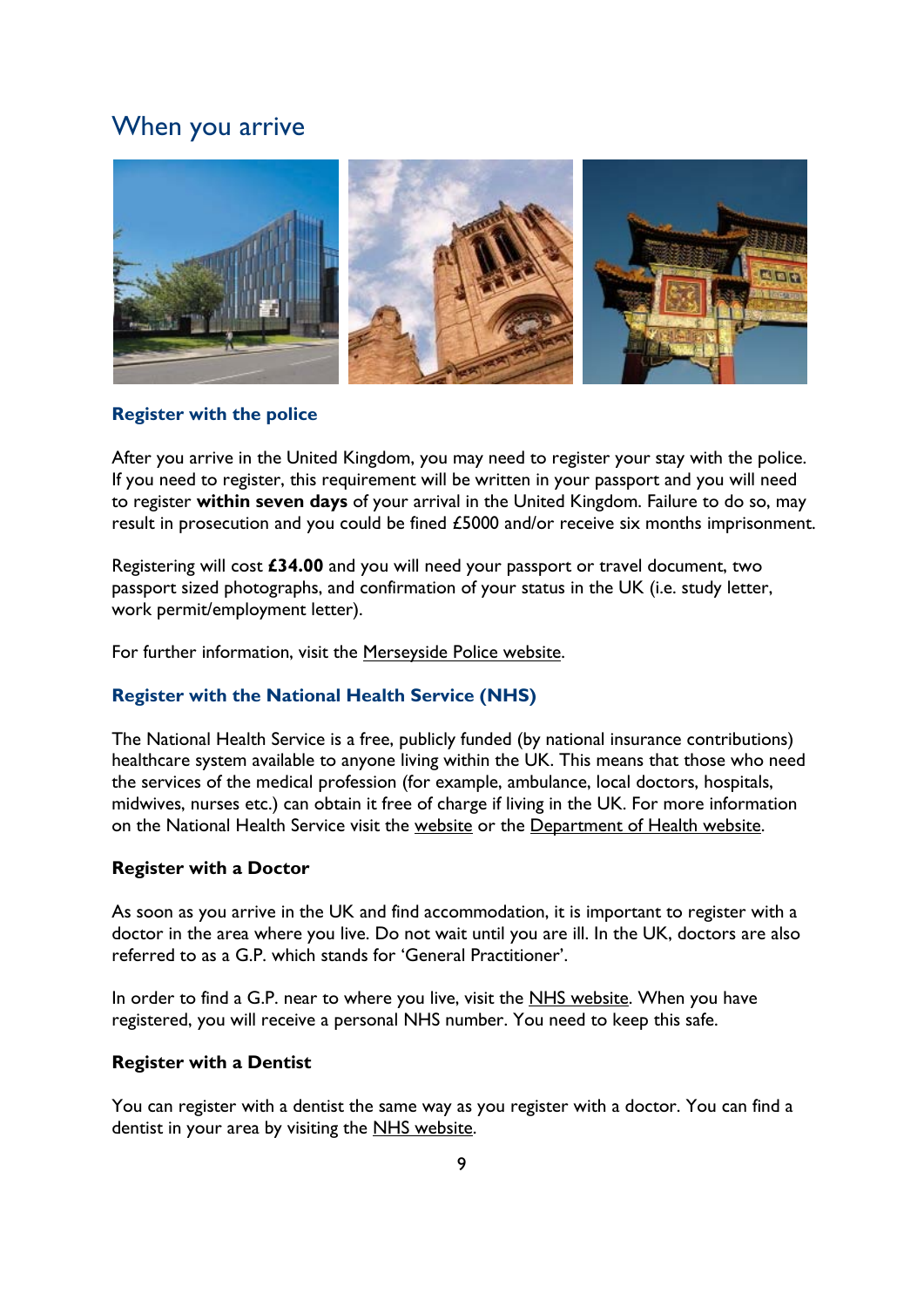### <span id="page-8-0"></span>When you arrive



### <span id="page-8-1"></span>**Register with the police**

After you arrive in the United Kingdom, you may need to register your stay with the police. If you need to register, this requirement will be written in your passport and you will need to register **within seven days** of your arrival in the United Kingdom. Failure to do so, may result in prosecution and you could be fined £5000 and/or receive six months imprisonment.

Registering will cost **£34.00** and you will need your passport or travel document, two passport sized photographs, and confirmation of your status in the UK (i.e. study letter, work permit/employment letter).

For further information, visit the [Merseyside Police website.](http://www.merseyside.police.uk/index.aspx?articleid=795)

### <span id="page-8-2"></span>**Register with the National Health Service (NHS)**

The National Health Service is a free, publicly funded (by national insurance contributions) healthcare system available to anyone living within the UK. This means that those who need the services of the medical profession (for example, ambulance, local doctors, hospitals, midwives, nurses etc.) can obtain it free of charge if living in the UK. For more information on the National Health Service visit the [website](http://www.nhs.uk/) or the [Department of Health website.](http://www.dh.gov.uk/)

### <span id="page-8-3"></span>**Register with a Doctor**

As soon as you arrive in the UK and find accommodation, it is important to register with a doctor in the area where you live. Do not wait until you are ill. In the UK, doctors are also referred to as a G.P. which stands for 'General Practitioner'.

In order to find a G.P. near to where you live, visit the [NHS website.](http://www.nhs.uk/Pages/HomePage.aspx) When you have registered, you will receive a personal NHS number. You need to keep this safe.

### <span id="page-8-4"></span>**Register with a Dentist**

You can register with a dentist the same way as you register with a doctor. You can find a dentist in your area by visiting the [NHS website.](http://www.nhs.uk/)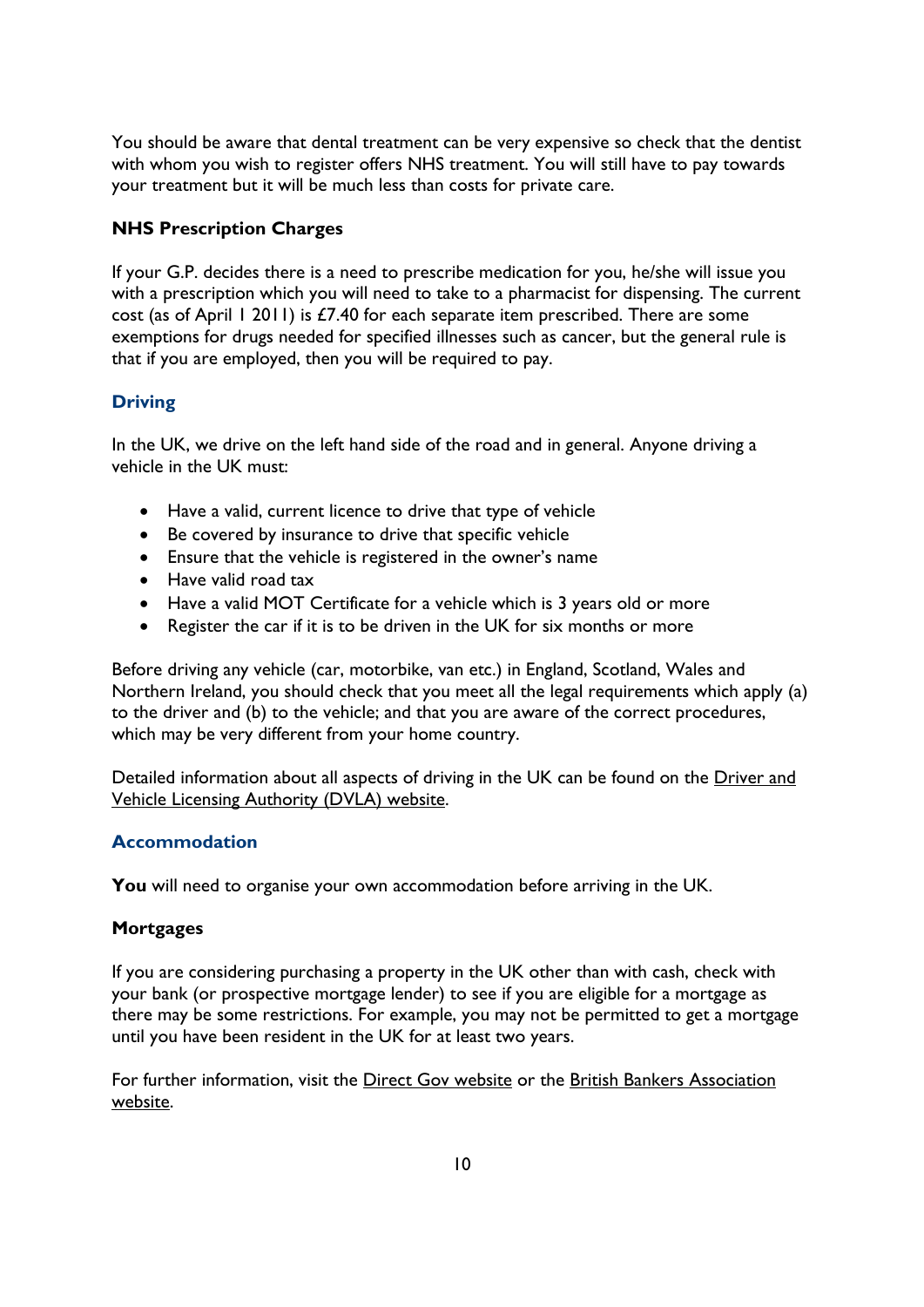You should be aware that dental treatment can be very expensive so check that the dentist with whom you wish to register offers NHS treatment. You will still have to pay towards your treatment but it will be much less than costs for private care.

### <span id="page-9-0"></span>**NHS Prescription Charges**

If your G.P. decides there is a need to prescribe medication for you, he/she will issue you with a prescription which you will need to take to a pharmacist for dispensing. The current cost (as of April 1 2011) is £7.40 for each separate item prescribed. There are some exemptions for drugs needed for specified illnesses such as cancer, but the general rule is that if you are employed, then you will be required to pay.

### <span id="page-9-1"></span>**Driving**

In the UK, we drive on the left hand side of the road and in general. Anyone driving a vehicle in the UK must:

- Have a valid, current licence to drive that type of vehicle
- Be covered by insurance to drive that specific vehicle
- Ensure that the vehicle is registered in the owner's name
- Have valid road tax
- Have a valid MOT Certificate for a vehicle which is 3 years old or more
- Register the car if it is to be driven in the UK for six months or more

Before driving any vehicle (car, motorbike, van etc.) in England, Scotland, Wales and Northern Ireland, you should check that you meet all the legal requirements which apply (a) to the driver and (b) to the vehicle; and that you are aware of the correct procedures, which may be very different from your home country.

Detailed information about all aspects of driving in the UK can be found on the [Driver and](http://www.dvla.gov.uk/)  [Vehicle Licensing Authority \(DVLA\) website.](http://www.dvla.gov.uk/)

### <span id="page-9-2"></span>**Accommodation**

**You** will need to organise your own accommodation before arriving in the UK.

### <span id="page-9-3"></span>**Mortgages**

If you are considering purchasing a property in the UK other than with cash, check with your bank (or prospective mortgage lender) to see if you are eligible for a mortgage as there may be some restrictions. For example, you may not be permitted to get a mortgage until you have been resident in the UK for at least two years.

For further information, visit the [Direct Gov website](http://www.direct.gov.uk/en/MoneyTaxAndBenefits/ManagingMoney/Mortgages/index.htm) or the [British Bankers Association](http://www.bba.org.uk/)  [website.](http://www.bba.org.uk/)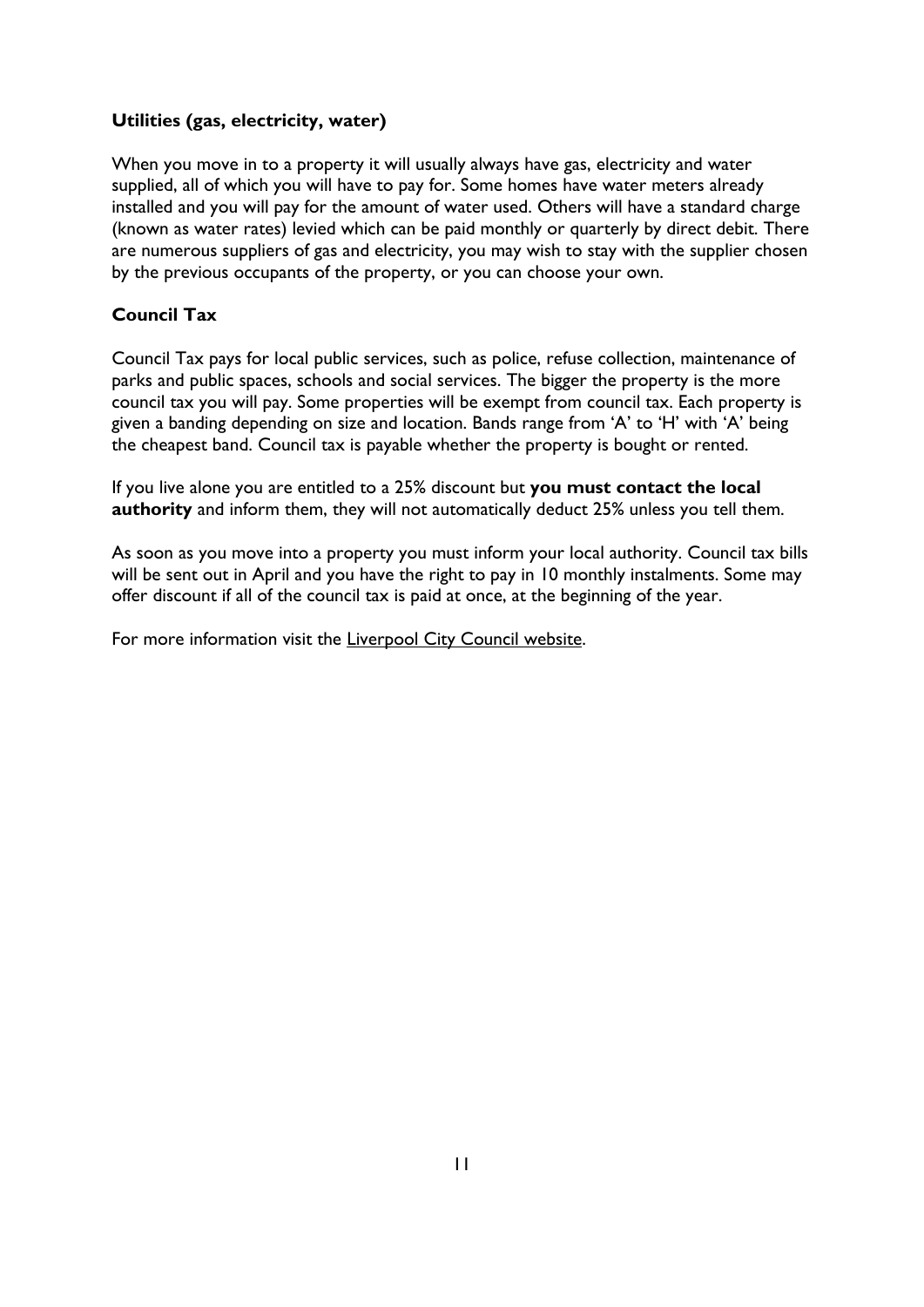### <span id="page-10-0"></span>**Utilities (gas, electricity, water)**

When you move in to a property it will usually always have gas, electricity and water supplied, all of which you will have to pay for. Some homes have water meters already installed and you will pay for the amount of water used. Others will have a standard charge (known as water rates) levied which can be paid monthly or quarterly by direct debit. There are numerous suppliers of gas and electricity, you may wish to stay with the supplier chosen by the previous occupants of the property, or you can choose your own.

### <span id="page-10-1"></span>**Council Tax**

Council Tax pays for local public services, such as police, refuse collection, maintenance of parks and public spaces, schools and social services. The bigger the property is the more council tax you will pay. Some properties will be exempt from council tax. Each property is given a banding depending on size and location. Bands range from 'A' to 'H' with 'A' being the cheapest band. Council tax is payable whether the property is bought or rented.

If you live alone you are entitled to a 25% discount but **you must contact the local authority** and inform them, they will not automatically deduct 25% unless you tell them.

As soon as you move into a property you must inform your local authority. Council tax bills will be sent out in April and you have the right to pay in 10 monthly instalments. Some may offer discount if all of the council tax is paid at once, at the beginning of the year.

For more information visit the [Liverpool City Council website.](http://www.liverpool.gov.uk/council-tax/)